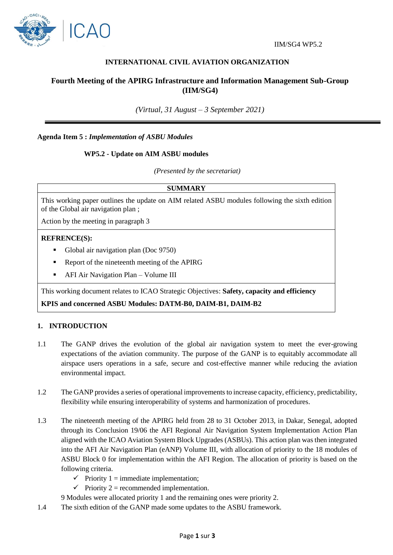

# **INTERNATIONAL CIVIL AVIATION ORGANIZATION**

# **Fourth Meeting of the APIRG Infrastructure and Information Management Sub-Group (IIM/SG4)**

*(Virtual, 31 August – 3 September 2021)*

**Agenda Item 5 :** *Implementation of ASBU Modules*

#### **WP5.2 - Update on AIM ASBU modules**

*(Presented by the secretariat)*

## **SUMMARY**

This working paper outlines the update on AIM related ASBU modules following the sixth edition of the Global air navigation plan ;

Action by the meeting in paragraph 3

## **REFRENCE(S):**

- Global air navigation plan (Doc 9750)
- Report of the nineteenth meeting of the APIRG
- AFI Air Navigation Plan Volume III

This working document relates to ICAO Strategic Objectives: **Safety, capacity and efficiency**

**KPIS and concerned ASBU Modules: DATM-B0, DAIM-B1, DAIM-B2**

#### **1. INTRODUCTION**

- 1.1 The GANP drives the evolution of the global air navigation system to meet the ever-growing expectations of the aviation community. The purpose of the GANP is to equitably accommodate all airspace users operations in a safe, secure and cost-effective manner while reducing the aviation environmental impact.
- 1.2 The GANP provides a series of operational improvements to increase capacity, efficiency, predictability, flexibility while ensuring interoperability of systems and harmonization of procedures.
- 1.3 The nineteenth meeting of the APIRG held from 28 to 31 October 2013, in Dakar, Senegal, adopted through its Conclusion 19/06 the AFI Regional Air Navigation System Implementation Action Plan aligned with the ICAO Aviation System Block Upgrades (ASBUs). This action plan was then integrated into the AFI Air Navigation Plan (eANP) Volume III, with allocation of priority to the 18 modules of ASBU Block 0 for implementation within the AFI Region. The allocation of priority is based on the following criteria.
	- $\checkmark$  Priority 1 = immediate implementation;
	- $\checkmark$  Priority 2 = recommended implementation.
	- 9 Modules were allocated priority 1 and the remaining ones were priority 2.
- 1.4 The sixth edition of the GANP made some updates to the ASBU framework.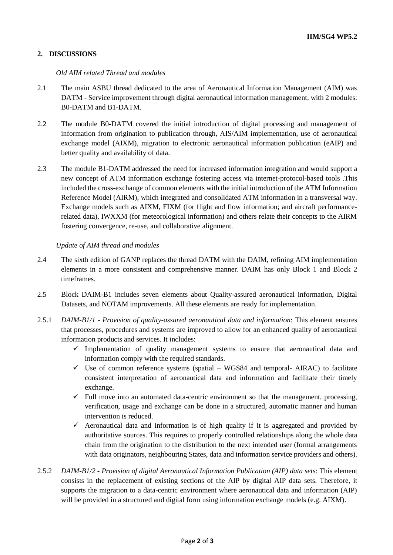## **2. DISCUSSIONS**

#### *Old AIM related Thread and modules*

- 2.1 The main ASBU thread dedicated to the area of Aeronautical Information Management (AIM) was DATM - Service improvement through digital aeronautical information management, with 2 modules: B0-DATM and B1-DATM.
- 2.2 The module B0-DATM covered the initial introduction of digital processing and management of information from origination to publication through, AIS/AIM implementation, use of aeronautical exchange model (AIXM), migration to electronic aeronautical information publication (eAIP) and better quality and availability of data.
- 2.3 The module B1-DATM addressed the need for increased information integration and would support a new concept of ATM information exchange fostering access via internet-protocol-based tools .This included the cross-exchange of common elements with the initial introduction of the ATM Information Reference Model (AIRM), which integrated and consolidated ATM information in a transversal way. Exchange models such as AIXM, FIXM (for flight and flow information; and aircraft performancerelated data), IWXXM (for meteorological information) and others relate their concepts to the AIRM fostering convergence, re-use, and collaborative alignment.

#### *Update of AIM thread and modules*

- 2.4 The sixth edition of GANP replaces the thread DATM with the DAIM, refining AIM implementation elements in a more consistent and comprehensive manner. DAIM has only Block 1 and Block 2 timeframes.
- 2.5 Block DAIM-B1 includes seven elements about Quality-assured aeronautical information, Digital Datasets, and NOTAM improvements. All these elements are ready for implementation.
- 2.5.1 *DAIM-B1/1 - Provision of quality-assured aeronautical data and information*: This element ensures that processes, procedures and systems are improved to allow for an enhanced quality of aeronautical information products and services. It includes:
	- $\checkmark$  Implementation of quality management systems to ensure that aeronautical data and information comply with the required standards.
	- $\checkmark$  Use of common reference systems (spatial WGS84 and temporal- AIRAC) to facilitate consistent interpretation of aeronautical data and information and facilitate their timely exchange.
	- $\checkmark$  Full move into an automated data-centric environment so that the management, processing, verification, usage and exchange can be done in a structured, automatic manner and human intervention is reduced.
	- $\checkmark$  Aeronautical data and information is of high quality if it is aggregated and provided by authoritative sources. This requires to properly controlled relationships along the whole data chain from the origination to the distribution to the next intended user (formal arrangements with data originators, neighbouring States, data and information service providers and others).
- 2.5.2 *DAIM-B1/2 - Provision of digital Aeronautical Information Publication (AIP) data sets*: This element consists in the replacement of existing sections of the AIP by digital AIP data sets. Therefore, it supports the migration to a data-centric environment where aeronautical data and information (AIP) will be provided in a structured and digital form using information exchange models (e.g. AIXM).